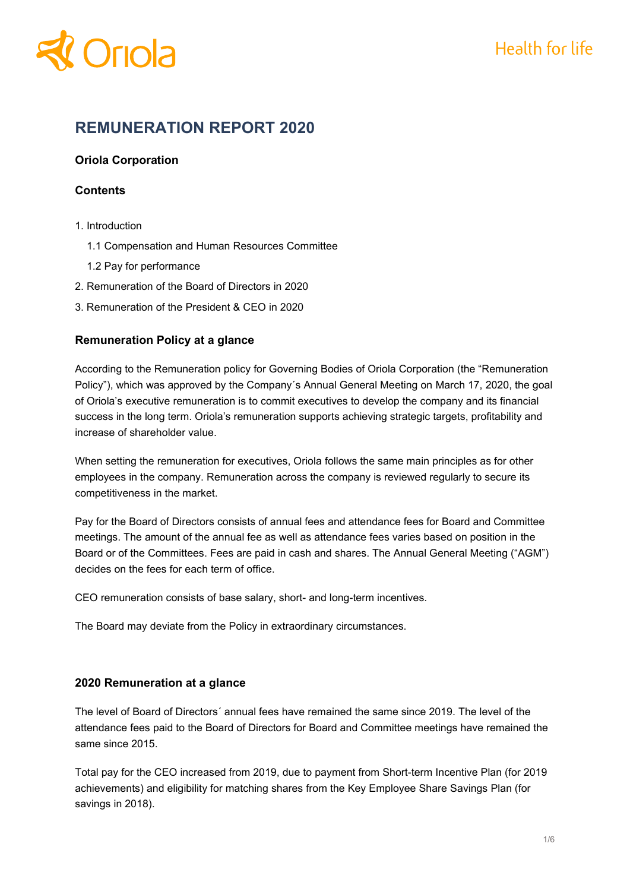

## **REMUNERATION REPORT 2020**

#### **Oriola Corporation**

#### **Contents**

- 1. Introduction
	- 1.1 Compensation and Human Resources Committee
	- 1.2 Pay for performance
- 2. Remuneration of the Board of Directors in 2020
- 3. Remuneration of the President & CEO in 2020

#### **Remuneration Policy at a glance**

According to the Remuneration policy for Governing Bodies of Oriola Corporation (the "Remuneration Policy"), which was approved by the Company´s Annual General Meeting on March 17, 2020, the goal of Oriola's executive remuneration is to commit executives to develop the company and its financial success in the long term. Oriola's remuneration supports achieving strategic targets, profitability and increase of shareholder value.

When setting the remuneration for executives, Oriola follows the same main principles as for other employees in the company. Remuneration across the company is reviewed regularly to secure its competitiveness in the market.

Pay for the Board of Directors consists of annual fees and attendance fees for Board and Committee meetings. The amount of the annual fee as well as attendance fees varies based on position in the Board or of the Committees. Fees are paid in cash and shares. The Annual General Meeting ("AGM") decides on the fees for each term of office.

CEO remuneration consists of base salary, short- and long-term incentives.

The Board may deviate from the Policy in extraordinary circumstances.

#### **2020 Remuneration at a glance**

The level of Board of Directors´ annual fees have remained the same since 2019. The level of the attendance fees paid to the Board of Directors for Board and Committee meetings have remained the same since 2015.

Total pay for the CEO increased from 2019, due to payment from Short-term Incentive Plan (for 2019 achievements) and eligibility for matching shares from the Key Employee Share Savings Plan (for savings in 2018).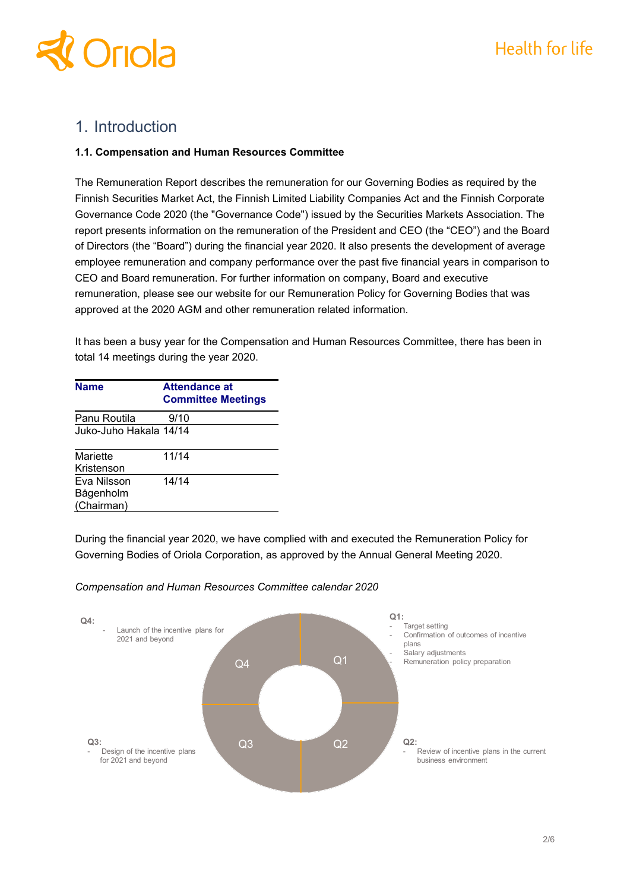

## 1. Introduction

#### **1.1. Compensation and Human Resources Committee**

The Remuneration Report describes the remuneration for our Governing Bodies as required by the Finnish Securities Market Act, the Finnish Limited Liability Companies Act and the Finnish Corporate Governance Code 2020 (the "Governance Code") issued by the Securities Markets Association. The report presents information on the remuneration of the President and CEO (the "CEO") and the Board of Directors (the "Board") during the financial year 2020. It also presents the development of average employee remuneration and company performance over the past five financial years in comparison to CEO and Board remuneration. For further information on company, Board and executive remuneration, please see our website for our Remuneration Policy for Governing Bodies that was approved at the 2020 AGM and other remuneration related information.

It has been a busy year for the Compensation and Human Resources Committee, there has been in total 14 meetings during the year 2020.

| <b>Name</b>            | <b>Attendance at</b><br><b>Committee Meetings</b> |
|------------------------|---------------------------------------------------|
| Panu Routila           | 9/10                                              |
| Juko-Juho Hakala 14/14 |                                                   |
| Mariette               | 11/14                                             |
| Kristenson             |                                                   |
| Eva Nilsson            | 14/14                                             |
| Bågenholm              |                                                   |
| (Chairman)             |                                                   |

During the financial year 2020, we have complied with and executed the Remuneration Policy for Governing Bodies of Oriola Corporation, as approved by the Annual General Meeting 2020.



#### *Compensation and Human Resources Committee calendar 2020*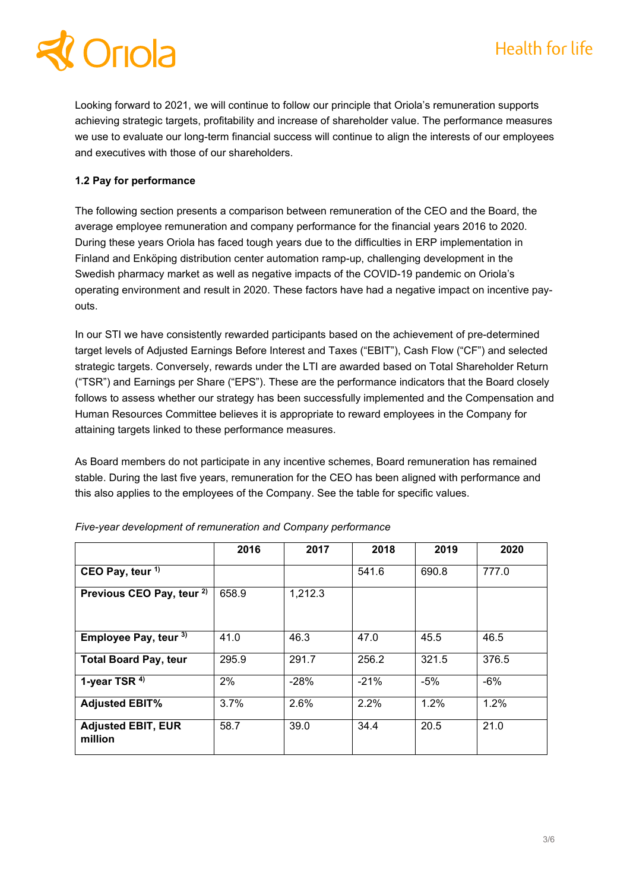Looking forward to 2021, we will continue to follow our principle that Oriola's remuneration supports achieving strategic targets, profitability and increase of shareholder value. The performance measures we use to evaluate our long-term financial success will continue to align the interests of our employees and executives with those of our shareholders.

### **1.2 Pay for performance**

The following section presents a comparison between remuneration of the CEO and the Board, the average employee remuneration and company performance for the financial years 2016 to 2020. During these years Oriola has faced tough years due to the difficulties in ERP implementation in Finland and Enköping distribution center automation ramp-up, challenging development in the Swedish pharmacy market as well as negative impacts of the COVID-19 pandemic on Oriola's operating environment and result in 2020. These factors have had a negative impact on incentive payouts.

In our STI we have consistently rewarded participants based on the achievement of pre-determined target levels of Adjusted Earnings Before Interest and Taxes ("EBIT"), Cash Flow ("CF") and selected strategic targets. Conversely, rewards under the LTI are awarded based on Total Shareholder Return ("TSR") and Earnings per Share ("EPS"). These are the performance indicators that the Board closely follows to assess whether our strategy has been successfully implemented and the Compensation and Human Resources Committee believes it is appropriate to reward employees in the Company for attaining targets linked to these performance measures.

As Board members do not participate in any incentive schemes, Board remuneration has remained stable. During the last five years, remuneration for the CEO has been aligned with performance and this also applies to the employees of the Company. See the table for specific values.

|                                      | 2016  | 2017    | 2018   | 2019  | 2020  |
|--------------------------------------|-------|---------|--------|-------|-------|
| CEO Pay, teur <sup>1)</sup>          |       |         | 541.6  | 690.8 | 777.0 |
| Previous CEO Pay, teur <sup>2)</sup> | 658.9 | 1,212.3 |        |       |       |
| Employee Pay, teur 3)                | 41.0  | 46.3    | 47.0   | 45.5  | 46.5  |
| <b>Total Board Pay, teur</b>         | 295.9 | 291.7   | 256.2  | 321.5 | 376.5 |
| 1-year TSR <sup>4)</sup>             | 2%    | $-28%$  | $-21%$ | $-5%$ | $-6%$ |
| <b>Adjusted EBIT%</b>                | 3.7%  | 2.6%    | 2.2%   | 1.2%  | 1.2%  |
| <b>Adjusted EBIT, EUR</b><br>million | 58.7  | 39.0    | 34.4   | 20.5  | 21.0  |

| Five-year development of remuneration and Company performance |  |  |  |
|---------------------------------------------------------------|--|--|--|
|---------------------------------------------------------------|--|--|--|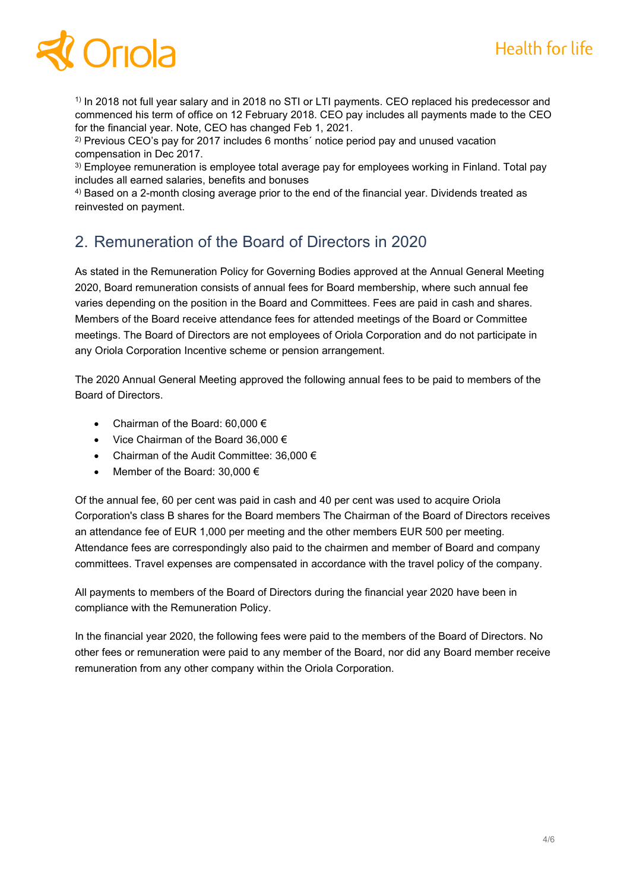# Oriol

<sup>1)</sup> In 2018 not full year salary and in 2018 no STI or LTI payments. CEO replaced his predecessor and commenced his term of office on 12 February 2018. CEO pay includes all payments made to the CEO for the financial year. Note, CEO has changed Feb 1, 2021.

<sup>2)</sup> Previous CEO's pay for 2017 includes 6 months' notice period pay and unused vacation compensation in Dec 2017.

<sup>3)</sup> Employee remuneration is employee total average pay for employees working in Finland. Total pay includes all earned salaries, benefits and bonuses

<sup>4)</sup> Based on a 2-month closing average prior to the end of the financial year. Dividends treated as reinvested on payment.

## 2. Remuneration of the Board of Directors in 2020

As stated in the Remuneration Policy for Governing Bodies approved at the Annual General Meeting 2020, Board remuneration consists of annual fees for Board membership, where such annual fee varies depending on the position in the Board and Committees. Fees are paid in cash and shares. Members of the Board receive attendance fees for attended meetings of the Board or Committee meetings. The Board of Directors are not employees of Oriola Corporation and do not participate in any Oriola Corporation Incentive scheme or pension arrangement.

The 2020 Annual General Meeting approved the following annual fees to be paid to members of the Board of Directors.

- Chairman of the Board: 60,000  $\epsilon$
- Vice Chairman of the Board 36,000 €
- Chairman of the Audit Committee: 36,000 €
- Member of the Board:  $30,000 \in$

Of the annual fee, 60 per cent was paid in cash and 40 per cent was used to acquire Oriola Corporation's class B shares for the Board members The Chairman of the Board of Directors receives an attendance fee of EUR 1,000 per meeting and the other members EUR 500 per meeting. Attendance fees are correspondingly also paid to the chairmen and member of Board and company committees. Travel expenses are compensated in accordance with the travel policy of the company.

All payments to members of the Board of Directors during the financial year 2020 have been in compliance with the Remuneration Policy.

In the financial year 2020, the following fees were paid to the members of the Board of Directors. No other fees or remuneration were paid to any member of the Board, nor did any Board member receive remuneration from any other company within the Oriola Corporation.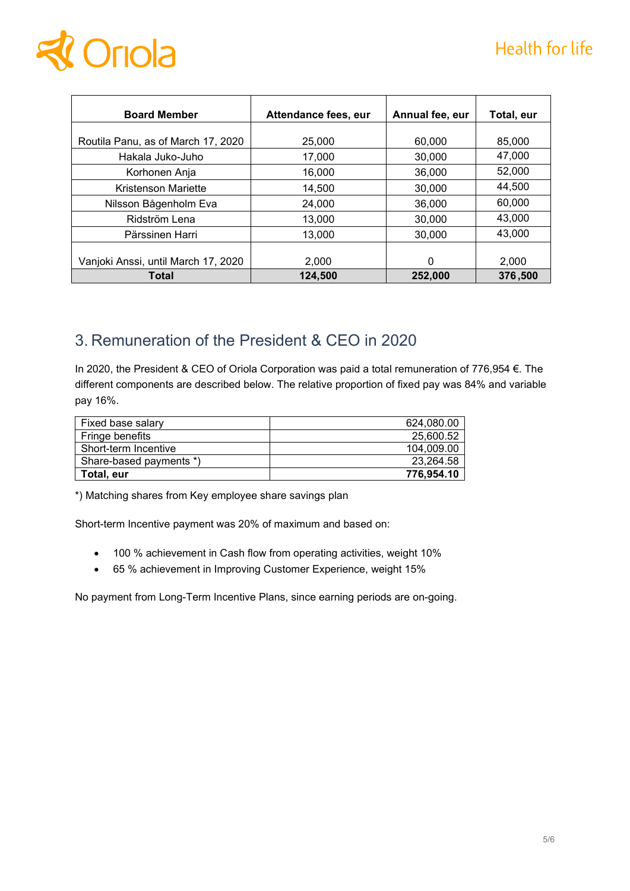

| <b>Board Member</b>                 | Attendance fees, eur | Annual fee, eur | Total, eur |
|-------------------------------------|----------------------|-----------------|------------|
|                                     |                      |                 |            |
| Routila Panu, as of March 17, 2020  | 25,000               | 60,000          | 85,000     |
| Hakala Juko-Juho                    | 17,000               | 30,000          | 47,000     |
| Korhonen Anja                       | 16,000               | 36,000          | 52,000     |
| Kristenson Mariette                 | 14,500               | 30,000          | 44.500     |
| Nilsson Bågenholm Eva               | 24,000               | 36,000          | 60,000     |
| Ridström Lena                       | 13,000               | 30,000          | 43.000     |
| Pärssinen Harri                     | 13,000               | 30,000          | 43.000     |
|                                     |                      |                 |            |
| Vanjoki Anssi, until March 17, 2020 | 2.000                | 0               | 2,000      |
| Total                               | 124,500              | 252,000         | 376,500    |

## 3. Remuneration of the President & CEO in 2020

In 2020, the President & CEO of Oriola Corporation was paid a total remuneration of 776,954 €. The different components are described below. The relative proportion of fixed pay was 84% and variable pay 16%.

| Fixed base salary       | 624.080.00 |
|-------------------------|------------|
| Fringe benefits         | 25.600.52  |
| Short-term Incentive    | 104.009.00 |
| Share-based payments *) | 23.264.58  |
| Total, eur              | 776,954.10 |

\*) Matching shares from Key employee share savings plan

Short-term Incentive payment was 20% of maximum and based on:

- 100 % achievement in Cash flow from operating activities, weight 10%
- 65 % achievement in Improving Customer Experience, weight 15%

No payment from Long-Term Incentive Plans, since earning periods are on-going.